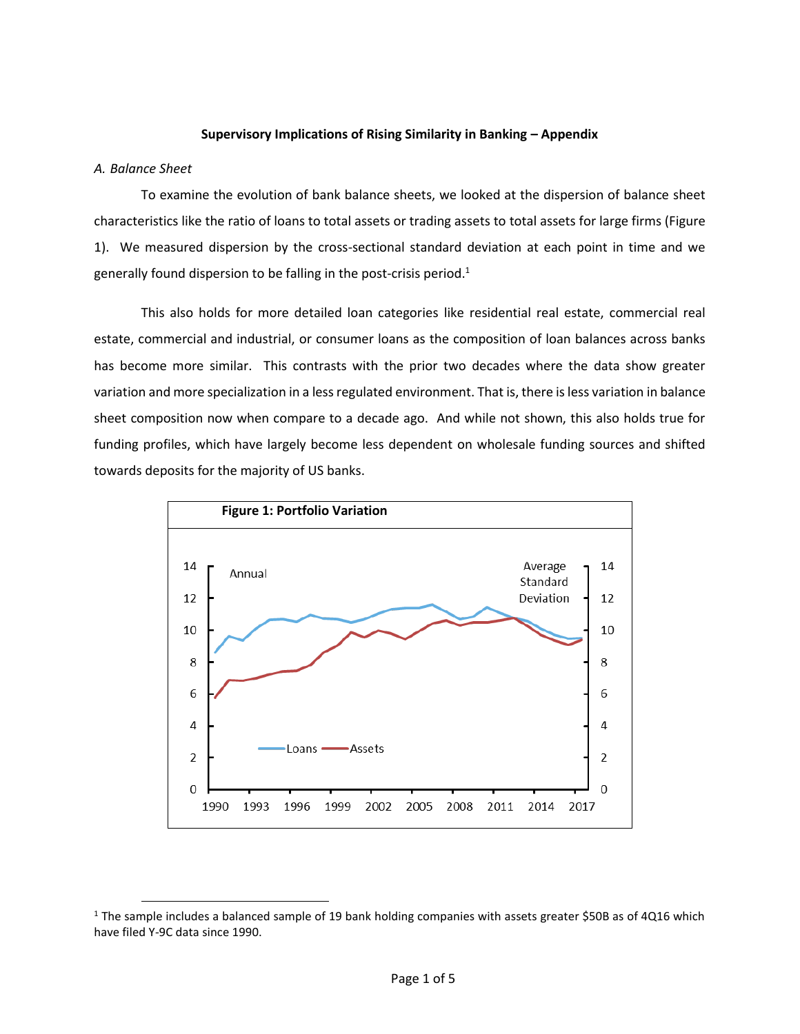#### **Supervisory Implications of Rising Similarity in Banking – Appendix**

#### *A. Balance Sheet*

 $\overline{\phantom{a}}$ 

To examine the evolution of bank balance sheets, we looked at the dispersion of balance sheet characteristics like the ratio of loans to total assets or trading assets to total assets for large firms (Figure 1). We measured dispersion by the cross-sectional standard deviation at each point in time and we generally found dispersion to be falling in the post-crisis period.<sup>1</sup>

This also holds for more detailed loan categories like residential real estate, commercial real estate, commercial and industrial, or consumer loans as the composition of loan balances across banks has become more similar. This contrasts with the prior two decades where the data show greater variation and more specialization in a less regulated environment. That is, there is less variation in balance sheet composition now when compare to a decade ago. And while not shown, this also holds true for funding profiles, which have largely become less dependent on wholesale funding sources and shifted towards deposits for the majority of US banks.



 $1$  The sample includes a balanced sample of 19 bank holding companies with assets greater \$50B as of 4Q16 which have filed Y-9C data since 1990.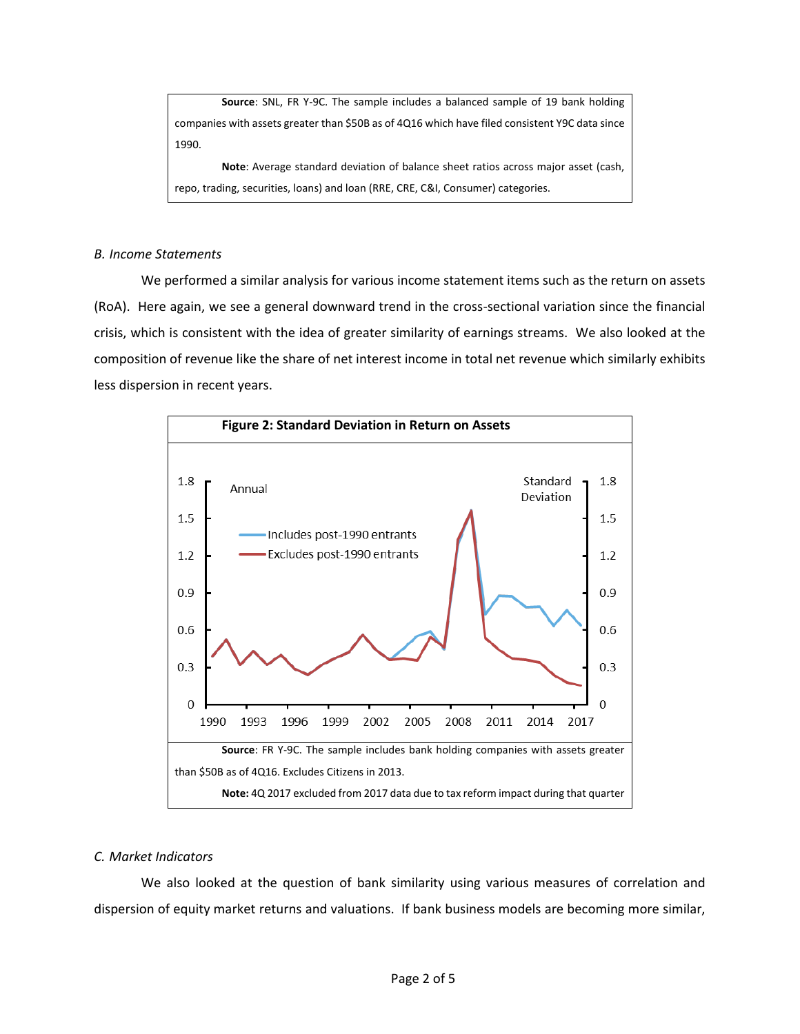**Source**: SNL, FR Y-9C. The sample includes a balanced sample of 19 bank holding companies with assets greater than \$50B as of 4Q16 which have filed consistent Y9C data since 1990.

**Note**: Average standard deviation of balance sheet ratios across major asset (cash, repo, trading, securities, loans) and loan (RRE, CRE, C&I, Consumer) categories.

### *B. Income Statements*

We performed a similar analysis for various income statement items such as the return on assets (RoA). Here again, we see a general downward trend in the cross-sectional variation since the financial crisis, which is consistent with the idea of greater similarity of earnings streams. We also looked at the composition of revenue like the share of net interest income in total net revenue which similarly exhibits less dispersion in recent years.



# *C. Market Indicators*

We also looked at the question of bank similarity using various measures of correlation and dispersion of equity market returns and valuations. If bank business models are becoming more similar,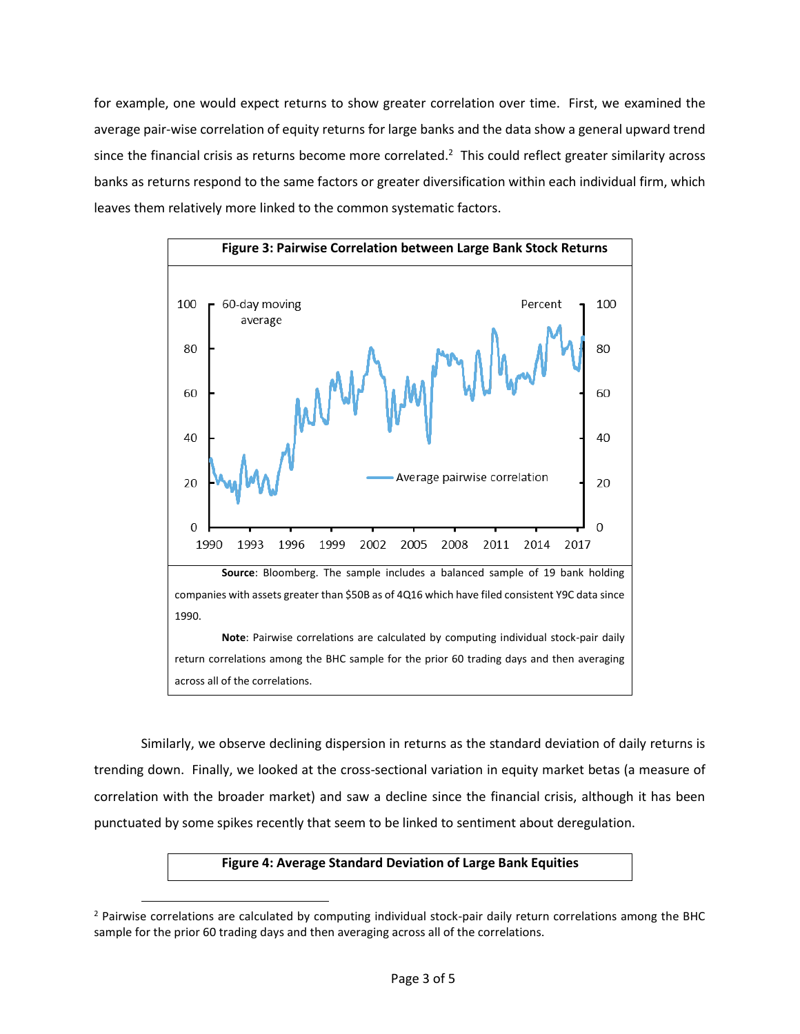for example, one would expect returns to show greater correlation over time. First, we examined the average pair-wise correlation of equity returns for large banks and the data show a general upward trend since the financial crisis as returns become more correlated.<sup>2</sup> This could reflect greater similarity across banks as returns respond to the same factors or greater diversification within each individual firm, which leaves them relatively more linked to the common systematic factors.



Similarly, we observe declining dispersion in returns as the standard deviation of daily returns is trending down. Finally, we looked at the cross-sectional variation in equity market betas (a measure of correlation with the broader market) and saw a decline since the financial crisis, although it has been punctuated by some spikes recently that seem to be linked to sentiment about deregulation.

## **Figure 4: Average Standard Deviation of Large Bank Equities**

 $\overline{\phantom{a}}$ 

<sup>&</sup>lt;sup>2</sup> Pairwise correlations are calculated by computing individual stock-pair daily return correlations among the BHC sample for the prior 60 trading days and then averaging across all of the correlations.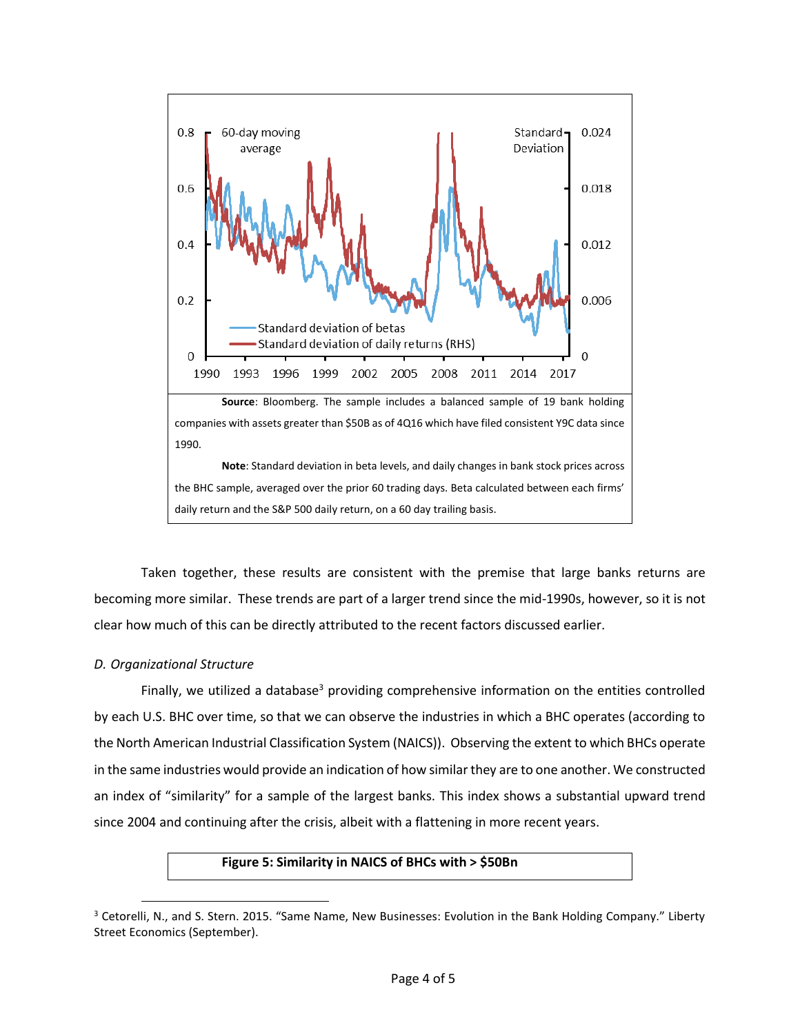

Taken together, these results are consistent with the premise that large banks returns are becoming more similar. These trends are part of a larger trend since the mid-1990s, however, so it is not clear how much of this can be directly attributed to the recent factors discussed earlier.

# *D. Organizational Structure*

 $\overline{\phantom{a}}$ 

Finally, we utilized a database<sup>3</sup> providing comprehensive information on the entities controlled by each U.S. BHC over time, so that we can observe the industries in which a BHC operates (according to the North American Industrial Classification System (NAICS)). Observing the extent to which BHCs operate in the same industries would provide an indication of how similar they are to one another. We constructed an index of "similarity" for a sample of the largest banks. This index shows a substantial upward trend since 2004 and continuing after the crisis, albeit with a flattening in more recent years.

## **Figure 5: Similarity in NAICS of BHCs with > \$50Bn**

<sup>&</sup>lt;sup>3</sup> Cetorelli, N., and S. Stern. 2015. "Same Name, New Businesses: Evolution in the Bank Holding Company." Liberty Street Economics (September).